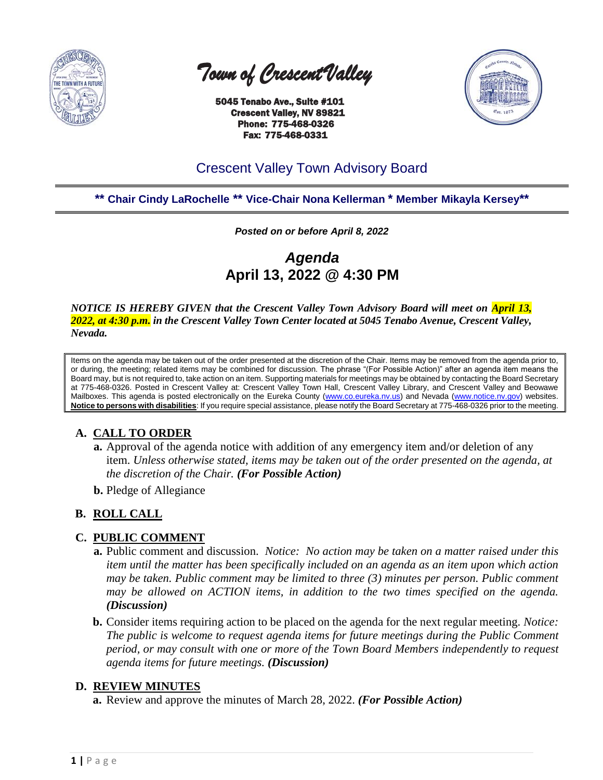

 *Town of Crescent Valley* 

 5045 Tenabo Ave., Suite #101 Crescent Valley, NV 89821 Phone: 775-468-0326 Fax: 775-468-0331



# Crescent Valley Town Advisory Board

**\*\* Chair Cindy LaRochelle \*\* Vice-Chair Nona Kellerman \* Member Mikayla Kersey\*\***

*Posted on or before April 8, 2022*

*Agenda* **April 13, 2022 @ 4:30 PM**

*NOTICE IS HEREBY GIVEN that the Crescent Valley Town Advisory Board will meet on April 13, 2022, at 4:30 p.m. in the Crescent Valley Town Center located at 5045 Tenabo Avenue, Crescent Valley, Nevada.* 

Items on the agenda may be taken out of the order presented at the discretion of the Chair. Items may be removed from the agenda prior to, or during, the meeting; related items may be combined for discussion. The phrase "(For Possible Action)" after an agenda item means the Board may, but is not required to, take action on an item. Supporting materials for meetings may be obtained by contacting the Board Secretary at 775-468-0326. Posted in Crescent Valley at: Crescent Valley Town Hall, Crescent Valley Library, and Crescent Valley and Beowawe Mailboxes. This agenda is posted electronically on the Eureka County [\(www.co.eureka.nv.us\)](http://www.co.eureka.nv.us/) and Nevada [\(www.notice.nv.gov\)](http://www.notice.nv.gov/) websites. **Notice to persons with disabilities**: If you require special assistance, please notify the Board Secretary at 775-468-0326 prior to the meeting.

# **A. CALL TO ORDER**

- **a.** Approval of the agenda notice with addition of any emergency item and/or deletion of any item. *Unless otherwise stated, items may be taken out of the order presented on the agenda, at the discretion of the Chair. (For Possible Action)*
- **b.** Pledge of Allegiance

# **B. ROLL CALL**

# **C. PUBLIC COMMENT**

- **a.** Public comment and discussion. *Notice: No action may be taken on a matter raised under this item until the matter has been specifically included on an agenda as an item upon which action may be taken. Public comment may be limited to three (3) minutes per person. Public comment may be allowed on ACTION items, in addition to the two times specified on the agenda. (Discussion)*
- **b.** Consider items requiring action to be placed on the agenda for the next regular meeting. *Notice: The public is welcome to request agenda items for future meetings during the Public Comment period, or may consult with one or more of the Town Board Members independently to request agenda items for future meetings. (Discussion)*

# **D. REVIEW MINUTES**

**a.** Review and approve the minutes of March 28, 2022. *(For Possible Action)*